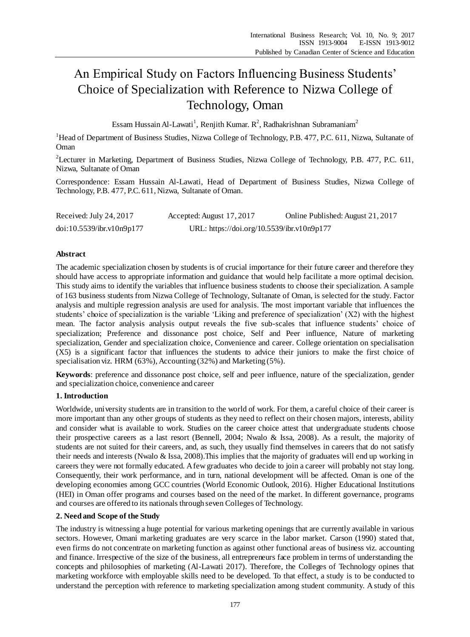# An Empirical Study on Factors Influencing Business Students' Choice of Specialization with Reference to Nizwa College of Technology, Oman

Essam Hussain Al-Lawati<sup>1</sup>, Renjith Kumar. R<sup>2</sup>, Radhakrishnan Subramaniam<sup>2</sup>

<sup>1</sup>Head of Department of Business Studies, Nizwa College of Technology, P.B. 477, P.C. 611, Nizwa, Sultanate of Oman

<sup>2</sup>Lecturer in Marketing, Department of Business Studies, Nizwa College of Technology, P.B. 477, P.C. 611, Nizwa, Sultanate of Oman

Correspondence: Essam Hussain Al-Lawati, Head of Department of Business Studies, Nizwa College of Technology, P.B. 477, P.C. 611, Nizwa, Sultanate of Oman.

| Received: July 24, 2017   | Accepted: August 17, 2017                  | Online Published: August 21, 2017 |
|---------------------------|--------------------------------------------|-----------------------------------|
| doi:10.5539/ibr.v10n9p177 | URL: https://doi.org/10.5539/ibr.v10n9p177 |                                   |

## **Abstract**

The academic specialization chosen by students is of crucial importance for their future career and therefore they should have access to appropriate information and guidance that would help facilitate a more optimal decision. This study aims to identify the variables that influence business students to choose their specialization. A sample of 163 business students from Nizwa College of Technology, Sultanate of Oman, is selected for the study. Factor analysis and multiple regression analysis are used for analysis. The most important variable that influences the students' choice of specialization is the variable 'Liking and preference of specialization' (X2) with the highest mean. The factor analysis analysis output reveals the five sub-scales that influence students' choice of specialization; Preference and dissonance post choice, Self and Peer influence, Nature of marketing specialization, Gender and specialization choice, Convenience and career. College orientation on specialisation (X5) is a significant factor that influences the students to advice their juniors to make the first choice of specialisation viz. HRM (63%), Accounting (32%) and Marketing (5%).

**Keywords**: preference and dissonance post choice, self and peer influence, nature of the specialization, gender and specialization choice, convenience and career

# **1. Introduction**

Worldwide, university students are in transition to the world of work. For them, a careful choice of their career is more important than any other groups of students as they need to reflect on their chosen majors, interests, ability and consider what is available to work. Studies on the career choice attest that undergraduate students choose their prospective careers as a last resort (Bennell, 2004; Nwalo & Issa, 2008). As a result, the majority of students are not suited for their careers, and, as such, they usually find themselves in careers that do not satisfy their needs and interests (Nwalo & Issa, 2008).This implies that the majority of graduates will end up working in careers they were not formally educated. A few graduates who decide to join a career will probably not stay long. Consequently, their work performance, and in turn, national development will be affected. Oman is one of the developing economies among GCC countries (World Economic Outlook, 2016). Higher Educational Institutions (HEI) in Oman offer programs and courses based on the need of the market. In different governance, programs and courses are offered to its nationals through seven Colleges of Technology.

## **2. Need and Scope of the Study**

The industry is witnessing a huge potential for various marketing openings that are currently available in various sectors. However, Omani marketing graduates are very scarce in the labor market. Carson (1990) stated that, even firms do not concentrate on marketing function as against other functional areas of business viz. accounting and finance. Irrespective of the size of the business, all entrepreneurs face problem in terms of understanding the concepts and philosophies of marketing (Al-Lawati 2017). Therefore, the Colleges of Technology opines that marketing workforce with employable skills need to be developed. To that effect, a study is to be conducted to understand the perception with reference to marketing specialization among student community. A study of this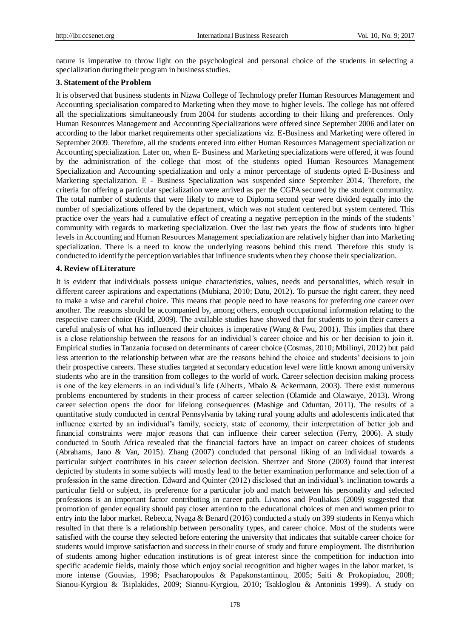nature is imperative to throw light on the psychological and personal choice of the students in selecting a specialization during their program in business studies.

## **3. Statement of the Problem**

It is observed that business students in Nizwa College of Technology prefer Human Resources Management and Accounting specialisation compared to Marketing when they move to higher levels. The college has not offered all the specializations simultaneously from 2004 for students according to their liking and preferences. Only Human Resources Management and Accounting Specializations were offered since September 2006 and later on according to the labor market requirements other specializations viz. E-Business and Marketing were offered in September 2009. Therefore, all the students entered into either Human Resources Management specialization or Accounting specialization. Later on, when E- Business and Marketing specializations were offered, it was found by the administration of the college that most of the students opted Human Resources Management Specialization and Accounting specialization and only a minor percentage of students opted E-Business and Marketing specialization. E - Business Specialization was suspended since September 2014. Therefore, the criteria for offering a particular specialization were arrived as per the CGPA secured by the student community. The total number of students that were likely to move to Diploma second year were divided equally into the number of specializations offered by the department, which was not student centered but system centered. This practice over the years had a cumulative effect of creating a negative perception in the minds of the students' community with regards to marketing specialization. Over the last two years the flow of students into higher levels in Accounting and Human Resources Management specialization are relatively higher than into Marketing specialization. There is a need to know the underlying reasons behind this trend. Therefore this study is conducted to identify the perception variables that influence students when they choose their specialization.

## **4. Review of Literature**

It is evident that individuals possess unique characteristics, values, needs and personalities, which result in different career aspirations and expectations (Mubiana, 2010; Datu, 2012). To pursue the right career, they need to make a wise and careful choice. This means that people need to have reasons for preferring one career over another. The reasons should be accompanied by, among others, enough occupational information relating to the respective career choice (Kidd, 2009). The available studies have showed that for students to join their careers a careful analysis of what has influenced their choices is imperative (Wang & Fwu, 2001). This implies that there is a close relationship between the reasons for an individual's career choice and his or her decision to join it. Empirical studies in Tanzania focused on determinants of career choice (Cosmas, 2010; Mbilinyi, 2012) but paid less attention to the relationship between what are the reasons behind the choice and students' decisions to join their prospective careers. These studies targeted at secondary education level were little known among university students who are in the transition from colleges to the world of work. Career selection decision making process is one of the key elements in an individual's life (Alberts, Mbalo & Ackermann, 2003). There exist numerous problems encountered by students in their process of career selection (Olamide and Olawaiye, 2013). Wrong career selection opens the door for lifelong consequences (Mashige and Oduntan, 2011). The results of a quantitative study conducted in central Pennsylvania by taking rural young adults and adolescents indicated that influence exerted by an individual's family, society, state of economy, their interpretation of better job and financial constraints were major reasons that can influence their career selection (Ferry, 2006). A study conducted in South Africa revealed that the financial factors have an impact on career choices of students (Abrahams, Jano & Van, 2015). Zhang (2007) concluded that personal liking of an individual towards a particular subject contributes in his career selection decision. Shertzer and Stone (2003) found that interest depicted by students in some subjects will mostly lead to the better examination performance and selection of a profession in the same direction. Edward and Quinter (2012) disclosed that an individual's inclination towards a particular field or subject, its preference for a particular job and match between his personality and selected professions is an important factor contributing in career path. Livanos and Pouliakas (2009) suggested that promotion of gender equality should pay closer attention to the educational choices of men and women prior to entry into the labor market. Rebecca, Nyaga & Benard (2016) conducted a study on 399 students in Kenya which resulted in that there is a relationship between personality types, and career choice. Most of the students were satisfied with the course they selected before entering the university that indicates that suitable career choice for students would improve satisfaction and success in their course of study and future employment. The distribution of students among higher education institutions is of great interest since the competition for induction into specific academic fields, mainly those which enjoy social recognition and higher wages in the labor market, is more intense (Gouvias, 1998; Psacharopoulos & Papakonstantinou, 2005; Saiti & Prokopiadou, 2008; Sianou-Kyrgiou & Tsiplakides, 2009; Sianou-Kyrgiou, 2010; Tsakloglou & Antoninis 1999). A study on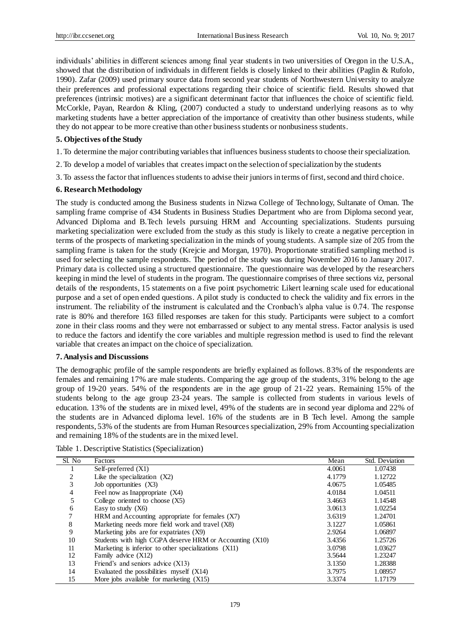individuals' abilities in different sciences among final year students in two universities of Oregon in the U.S.A., showed that the distribution of individuals in different fields is closely linked to their abilities (Paglin & Rufolo, 1990). Zafar (2009) used primary source data from second year students of Northwestern University to analyze their preferences and professional expectations regarding their choice of scientific field. Results showed that preferences (intrinsic motives) are a significant determinant factor that influences the choice of scientific field. McCorkle, Payan, Reardon & Kling, (2007) conducted a study to understand underlying reasons as to why marketing students have a better appreciation of the importance of creativity than other business students, while they do not appear to be more creative than other business students or nonbusiness students.

## **5. Objectives of the Study**

- 1. To determine the major contributing variables that influences business students to choose their specialization.
- 2. To develop a model of variables that creates impact on the selection of specialization by the students
- 3. To assess the factor that influences students to advise their juniors in terms of first, second and third choice.

## **6. Research Methodology**

The study is conducted among the Business students in Nizwa College of Technology, Sultanate of Oman. The sampling frame comprise of 434 Students in Business Studies Department who are from Diploma second year, Advanced Diploma and B.Tech levels pursuing HRM and Accounting specializations. Students pursuing marketing specialization were excluded from the study as this study is likely to create a negative perception in terms of the prospects of marketing specialization in the minds of young students. A sample size of 205 from the sampling frame is taken for the study (Krejcie and Morgan, 1970). Proportionate stratified sampling method is used for selecting the sample respondents. The period of the study was during November 2016 to January 2017. Primary data is collected using a structured questionnaire. The questionnaire was developed by the researchers keeping in mind the level of students in the program. The questionnaire comprises of three sections viz, personal details of the respondents, 15 statements on a five point psychometric Likert learning scale used for educational purpose and a set of open ended questions. A pilot study is conducted to check the validity and fix errors in the instrument. The reliability of the instrument is calculated and the Cronbach's alpha value is 0.74. The response rate is 80% and therefore 163 filled responses are taken for this study. Participants were subject to a comfort zone in their class rooms and they were not embarrassed or subject to any mental stress. Factor analysis is used to reduce the factors and identify the core variables and multiple regression method is used to find the relevant variable that creates an impact on the choice of specialization.

## **7. Analysis and Discussions**

The demographic profile of the sample respondents are briefly explained as follows. 83% of the respondents are females and remaining 17% are male students. Comparing the age group of the students, 31% belong to the age group of 19-20 years. 54% of the respondents are in the age group of 21-22 years. Remaining 15% of the students belong to the age group 23-24 years. The sample is collected from students in various levels of education. 13% of the students are in mixed level, 49% of the students are in second year diploma and 22% of the students are in Advanced diploma level. 16% of the students are in B Tech level. Among the sample respondents, 53% of the students are from Human Resources specialization, 29% from Accounting specialization and remaining 18% of the students are in the mixed level.

Table 1. Descriptive Statistics (Specialization)

| Sl. No | Factors                                                 | Mean   | Std. Deviation |
|--------|---------------------------------------------------------|--------|----------------|
|        | Self-preferred (X1)                                     | 4.0061 | 1.07438        |
| 2      | Like the specialization $(X2)$                          | 4.1779 | 1.12722        |
| 3      | Job opportunities (X3)                                  | 4.0675 | 1.05485        |
| 4      | Feel now as Inappropriate (X4)                          | 4.0184 | 1.04511        |
| 5      | College oriented to choose $(X5)$                       | 3.4663 | 1.14548        |
| 6      | Easy to study $(X6)$                                    | 3.0613 | 1.02254        |
| 7      | HRM and Accounting appropriate for females $(X7)$       | 3.6319 | 1.24701        |
| 8      | Marketing needs more field work and travel (X8)         | 3.1227 | 1.05861        |
| 9      | Marketing jobs are for expatriates (X9)                 | 2.9264 | 1.06897        |
| 10     | Students with high CGPA deserve HRM or Accounting (X10) | 3.4356 | 1.25726        |
| 11     | Marketing is inferior to other specializations (X11)    | 3.0798 | 1.03627        |
| 12     | Family advice (X12)                                     | 3.5644 | 1.23247        |
| 13     | Friend's and seniors advice $(X13)$                     | 3.1350 | 1.28388        |
| 14     | Evaluated the possibilities myself $(X14)$              | 3.7975 | 1.08957        |
| 15     | More jobs available for marketing $(X15)$               | 3.3374 | 1.17179        |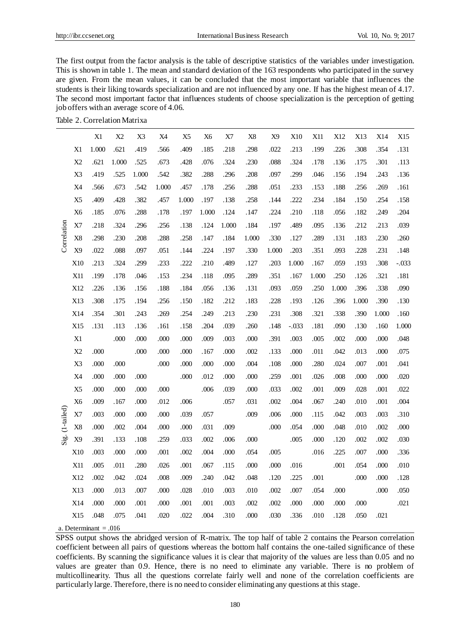The first output from the factor analysis is the table of descriptive statistics of the variables under investigation. This is shown in table 1. The mean and standard deviation of the 163 respondents who participated in the survey are given. From the mean values, it can be concluded that the most important variable that influences the students is their liking towards specialization and are not influenced by any one. If has the highest mean of 4.17. The second most important factor that influences students of choose specialization is the perception of getting job offers with an average score of 4.06.

Table 2. Correlation Matrixa

|              |                | X1    | X2     | X3    | X4     | X <sub>5</sub> | X <sub>6</sub> | X7    | $\rm X8$ | X <sub>9</sub> | X10     | X11   | X12   | X13   | X14   | X15     |
|--------------|----------------|-------|--------|-------|--------|----------------|----------------|-------|----------|----------------|---------|-------|-------|-------|-------|---------|
|              | X1             | 1.000 | .621   | .419  | .566   | .409           | .185           | .218  | .298     | .022           | .213    | .199  | .226  | .308  | .354  | .131    |
|              | X2             | .621  | 1.000  | .525  | .673   | .428           | .076           | .324  | .230     | .088           | .324    | .178  | .136  | .175  | .301  | .113    |
|              | X3             | .419  | .525   | 1.000 | .542   | .382           | .288           | .296  | .208     | .097           | .299    | .046  | .156  | .194  | .243  | .136    |
|              | X4             | .566  | .673   | .542  | 1.000  | .457           | .178           | .256  | .288     | .051           | .233    | .153  | .188  | .256  | .269  | .161    |
|              | X <sub>5</sub> | .409  | .428   | .382  | .457   | 1.000          | .197           | .138  | .258     | .144           | .222    | .234  | .184  | .150  | .254  | .158    |
|              | X <sub>6</sub> | .185  | .076   | .288  | .178   | .197           | 1.000          | .124  | .147     | .224           | .210    | .118  | .056  | .182  | .249  | .204    |
| Correlation  | X7             | .218  | .324   | .296  | .256   | .138           | .124           | 1.000 | .184     | .197           | .489    | .095  | .136  | .212  | .213  | .039    |
|              | X <sub>8</sub> | .298  | .230   | .208  | .288   | .258           | .147           | .184  | 1.000    | .330           | .127    | .289  | .131  | .183  | .230  | .260    |
|              | X <sub>9</sub> | .022  | .088   | .097  | .051   | .144           | .224           | .197  | .330     | 1.000          | .203    | .351  | .093  | .228  | .231  | .148    |
|              | X10            | .213  | .324   | .299  | .233   | .222           | .210           | .489  | .127     | .203           | 1.000   | .167  | .059  | .193  | .308  | $-.033$ |
|              | <b>X11</b>     | .199  | .178   | .046  | .153   | .234           | .118           | .095  | .289     | .351           | .167    | 1.000 | .250  | .126  | .321  | .181    |
|              | X12            | .226  | .136   | .156  | .188   | .184           | .056           | .136  | .131     | .093           | .059    | .250  | 1.000 | .396  | .338  | .090    |
|              | X13            | .308  | .175   | .194  | .256   | .150           | .182           | .212  | .183     | .228           | .193    | .126  | .396  | 1.000 | .390  | .130    |
|              | X14            | .354  | .301   | .243  | .269   | .254           | .249           | .213  | .230     | .231           | .308    | .321  | .338  | .390  | 1.000 | .160    |
|              | X15            | .131  | .113   | .136  | .161   | .158           | .204           | .039  | .260     | .148           | $-.033$ | .181  | .090  | .130  | .160  | 1.000   |
|              | X1             |       | .000   | .000  | .000   | .000           | .009           | .003  | .000     | .391           | .003    | .005  | .002  | .000  | .000  | .048    |
|              | X2             | .000  |        | .000  | .000   | .000           | .167           | .000  | .002     | .133           | .000    | .011  | .042  | .013  | .000  | .075    |
|              | X3             | .000  | $.000$ |       | .000   | .000           | .000           | .000  | .004     | .108           | .000    | .280  | .024  | .007  | .001  | .041    |
|              | $\rm X4$       | .000  | .000   | .000  |        | .000           | .012           | .000  | .000     | .259           | .001    | .026  | .008  | .000  | .000  | .020    |
|              | X <sub>5</sub> | .000  | .000   | .000  | .000   |                | .006           | .039  | .000     | .033           | .002    | .001  | .009  | .028  | .001  | .022    |
|              | X <sub>6</sub> | .009  | .167   | .000  | .012   | .006           |                | .057  | .031     | .002           | .004    | .067  | .240  | .010  | .001  | .004    |
| $(1-tailed)$ | X7             | .003  | .000   | .000  | .000   | .039           | .057           |       | .009     | .006           | .000    | .115  | .042  | .003  | .003  | .310    |
|              | X <sub>8</sub> | .000  | .002   | .004  | .000   | .000           | .031           | .009  |          | .000           | .054    | .000  | .048  | .010  | .002  | .000    |
| Sig.         | X <sub>9</sub> | .391  | .133   | .108  | .259   | .033           | .002           | .006  | .000     |                | .005    | .000  | .120  | .002  | .002  | .030    |
|              | X10            | .003  | .000   | .000  | $.001$ | .002           | .004           | .000  | .054     | .005           |         | .016  | .225  | .007  | .000  | .336    |
|              | X11            | .005  | .011   | .280  | .026   | .001           | .067           | .115  | .000     | .000           | .016    |       | .001  | .054  | .000  | .010    |
|              | X12            | .002  | .042   | .024  | .008   | .009           | .240           | .042  | .048     | .120           | .225    | .001  |       | .000  | .000  | .128    |
|              | X13            | .000  | .013   | .007  | .000   | .028           | .010           | .003  | .010     | .002           | .007    | .054  | .000  |       | .000  | .050    |
|              | X14            | .000  | .000   | .001  | .000   | .001           | .001           | .003  | .002     | .002           | .000    | .000  | .000  | .000  |       | .021    |
|              | X15            | .048  | .075   | .041  | .020   | .022           | .004           | .310  | .000     | .030           | .336    | .010  | .128  | .050  | .021  |         |

a. Determinant  $= .016$ 

SPSS output shows the abridged version of R-matrix. The top half of table 2 contains the Pearson correlation coefficient between all pairs of questions whereas the bottom half contains the one-tailed significance of these coefficients. By scanning the significance values it is clear that majority of the values are less than 0.05 and no values are greater than 0.9. Hence, there is no need to eliminate any variable. There is no problem of multicollinearity. Thus all the questions correlate fairly well and none of the correlation coefficients are particularly large. Therefore, there is no need to consider eliminating any questions at this stage.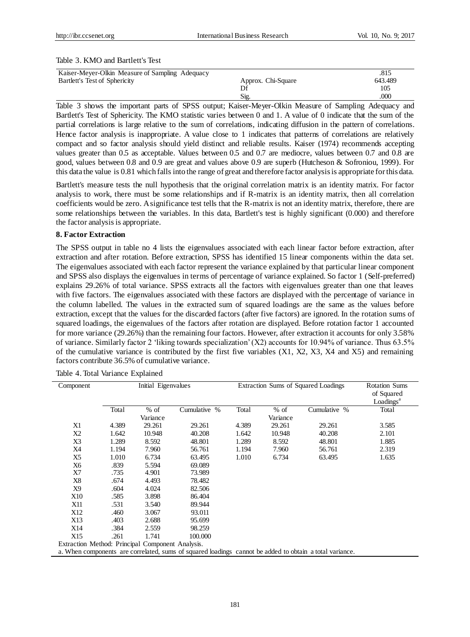#### Table 3. KMO and Bartlett's Test

| Kaiser-Meyer-Olkin Measure of Sampling Adequacy |                    | .815    |
|-------------------------------------------------|--------------------|---------|
| Bartlett's Test of Sphericity                   | Approx. Chi-Square | 643.489 |
|                                                 |                    | 105     |
|                                                 | Sig                | .000    |

Table 3 shows the important parts of SPSS output; Kaiser-Meyer-Olkin Measure of Sampling Adequacy and Bartlett's Test of Sphericity. The KMO statistic varies between 0 and 1. A value of 0 indicate that the sum of the partial correlations is large relative to the sum of correlations, indicating diffusion in the pattern of correlations. Hence factor analysis is inappropriate. A value close to 1 indicates that patterns of correlations are relatively compact and so factor analysis should yield distinct and reliable results. Kaiser (1974) recommends accepting values greater than 0.5 as acceptable. Values between 0.5 and 0.7 are mediocre, values between 0.7 and 0.8 are good, values between 0.8 and 0.9 are great and values above 0.9 are superb (Hutcheson & Sofroniou, 1999). For this data the value is 0.81 which falls into the range of great and therefore factor analysis is appropriate for this data.

Bartlett's measure tests the null hypothesis that the original correlation matrix is an identity matrix. For factor analysis to work, there must be some relationships and if R-matrix is an identity matrix, then all correlation coefficients would be zero. A significance test tells that the R-matrix is not an identity matrix, therefore, there are some relationships between the variables. In this data, Bartlett's test is highly significant (0.000) and therefore the factor analysis is appropriate.

## **8. Factor Extraction**

The SPSS output in table no 4 lists the eigenvalues associated with each linear factor before extraction, after extraction and after rotation. Before extraction, SPSS has identified 15 linear components within the data set. The eigenvalues associated with each factor represent the variance explained by that particular linear component and SPSS also displays the eigenvalues in terms of percentage of variance explained. So factor 1 (Self-preferred) explains 29.26% of total variance. SPSS extracts all the factors with eigenvalues greater than one that leaves with five factors. The eigenvalues associated with these factors are displayed with the percentage of variance in the column labelled. The values in the extracted sum of squared loadings are the same as the values before extraction, except that the values for the discarded factors (after five factors) are ignored. In the rotation sums of squared loadings, the eigenvalues of the factors after rotation are displayed. Before rotation factor 1 accounted for more variance (29.26%) than the remaining four factors. However, after extraction it accounts for only 3.58% of variance. Similarly factor 2 'liking towards specialization' (X2) accounts for 10.94% of variance. Thus 63.5% of the cumulative variance is contributed by the first five variables  $(X1, X2, X3, X4, X5)$  and remaining factors contribute 36.5% of cumulative variance.

| Component                                        | Initial Eigenvalues |          |                                                                                                         |       | Extraction Sums of Squared Loadings | <b>Rotation Sums</b> |                              |  |
|--------------------------------------------------|---------------------|----------|---------------------------------------------------------------------------------------------------------|-------|-------------------------------------|----------------------|------------------------------|--|
|                                                  |                     |          |                                                                                                         |       |                                     |                      | of Squared                   |  |
|                                                  |                     |          |                                                                                                         |       |                                     |                      | $\text{Loadings}^{\text{a}}$ |  |
|                                                  | Total               | $%$ of   | Cumulative %                                                                                            | Total | $%$ of                              | Cumulative %         | Total                        |  |
|                                                  |                     | Variance |                                                                                                         |       | Variance                            |                      |                              |  |
| X1                                               | 4.389               | 29.261   | 29.261                                                                                                  | 4.389 | 29.261                              | 29.261               | 3.585                        |  |
| Χ2                                               | 1.642               | 10.948   | 40.208                                                                                                  | 1.642 | 10.948                              | 40.208               | 2.101                        |  |
| X3                                               | 1.289               | 8.592    | 48.801                                                                                                  | 1.289 | 8.592                               | 48.801               | 1.885                        |  |
| X4                                               | 1.194               | 7.960    | 56.761                                                                                                  | 1.194 | 7.960                               | 56.761               | 2.319                        |  |
| X5                                               | 1.010               | 6.734    | 63.495                                                                                                  | 1.010 | 6.734                               | 63.495               | 1.635                        |  |
| Х6                                               | .839                | 5.594    | 69.089                                                                                                  |       |                                     |                      |                              |  |
| X7                                               | .735                | 4.901    | 73.989                                                                                                  |       |                                     |                      |                              |  |
| X8                                               | .674                | 4.493    | 78.482                                                                                                  |       |                                     |                      |                              |  |
| X9                                               | .604                | 4.024    | 82.506                                                                                                  |       |                                     |                      |                              |  |
| <b>X10</b>                                       | .585                | 3.898    | 86.404                                                                                                  |       |                                     |                      |                              |  |
| X11                                              | .531                | 3.540    | 89.944                                                                                                  |       |                                     |                      |                              |  |
| X12                                              | .460                | 3.067    | 93.011                                                                                                  |       |                                     |                      |                              |  |
| X13                                              | .403                | 2.688    | 95.699                                                                                                  |       |                                     |                      |                              |  |
| X14                                              | .384                | 2.559    | 98.259                                                                                                  |       |                                     |                      |                              |  |
| X15                                              | .261                | 1.741    | 100.000                                                                                                 |       |                                     |                      |                              |  |
| Extraction Method: Principal Component Analysis. |                     |          |                                                                                                         |       |                                     |                      |                              |  |
|                                                  |                     |          | a. When components are correlated, sums of squared loadings cannot be added to obtain a total variance. |       |                                     |                      |                              |  |

Table 4. Total Variance Explained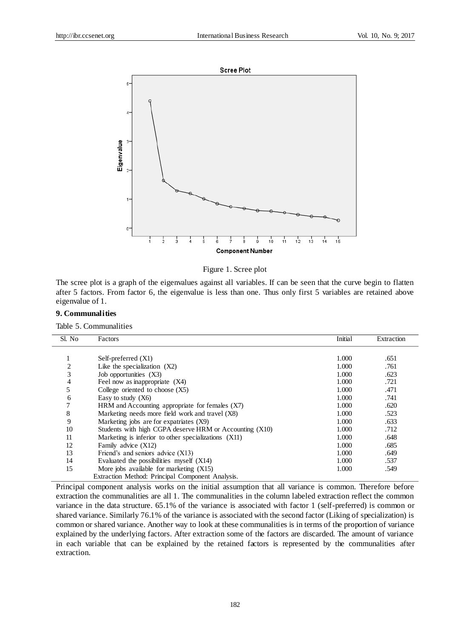



The scree plot is a graph of the eigenvalues against all variables. If can be seen that the curve begin to flatten after 5 factors. From factor 6, the eigenvalue is less than one. Thus only first 5 variables are retained above eigenvalue of 1.

## **9. Communalities**

Table 5. Communalities

| Sl. No         | Factors                                                 | Initial | Extraction |
|----------------|---------------------------------------------------------|---------|------------|
|                |                                                         |         |            |
| 1              | Self-preferred $(X1)$                                   | 1.000   | .651       |
| $\overline{2}$ | Like the specialization $(X2)$                          | 1.000   | .761       |
| 3              | Job opportunities (X3)                                  | 1.000   | .623       |
| 4              | Feel now as inappropriate (X4)                          | 1.000   | .721       |
| 5              | College oriented to choose $(X5)$                       | 1.000   | .471       |
| 6              | Easy to study $(X6)$                                    | 1.000   | .741       |
|                | HRM and Accounting appropriate for females (X7)         | 1.000   | .620       |
| 8              | Marketing needs more field work and travel (X8)         | 1.000   | .523       |
| 9              | Marketing jobs are for expatriates (X9)                 | 1.000   | .633       |
| 10             | Students with high CGPA deserve HRM or Accounting (X10) | 1.000   | .712       |
| 11             | Marketing is inferior to other specializations (X11)    | 1.000   | .648       |
| 12             | Family advice (X12)                                     | 1.000   | .685       |
| 13             | Friend's and seniors advice $(X13)$                     | 1.000   | .649       |
| 14             | Evaluated the possibilities myself (X14)                | 1.000   | .537       |
| 15             | More jobs available for marketing $(X15)$               | 1.000   | .549       |
|                | Extraction Method: Principal Component Analysis.        |         |            |

Principal component analysis works on the initial assumption that all variance is common. Therefore before extraction the communalities are all 1. The communalities in the column labeled extraction reflect the common variance in the data structure. 65.1% of the variance is associated with factor 1 (self-preferred) is common or shared variance. Similarly 76.1% of the variance is associated with the second factor (Liking of specialization) is common or shared variance. Another way to look at these communalities is in terms of the proportion of variance explained by the underlying factors. After extraction some of the factors are discarded. The amount of variance in each variable that can be explained by the retained factors is represented by the communalities after extraction.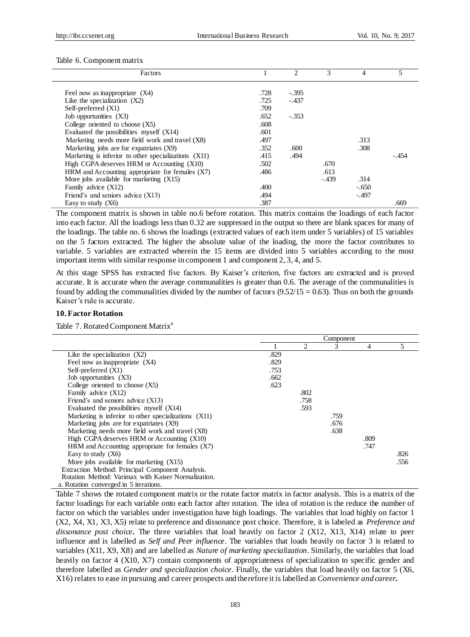#### Table 6. Component matrix

| Factors                                              |      | $\mathfrak{D}$ | 3       | 4       |         |
|------------------------------------------------------|------|----------------|---------|---------|---------|
|                                                      |      |                |         |         |         |
| Feel now as inappropriate (X4)                       | .728 | $-.395$        |         |         |         |
| Like the specialization $(X2)$                       | .725 | $-.437$        |         |         |         |
| Self-preferred $(X1)$                                | .709 |                |         |         |         |
| Job opportunities (X3)                               | .652 | $-.353$        |         |         |         |
| College oriented to choose $(X5)$                    | .608 |                |         |         |         |
| Evaluated the possibilities myself $(X14)$           | .601 |                |         |         |         |
| Marketing needs more field work and travel (X8)      | .497 |                |         | .313    |         |
| Marketing jobs are for expatriates (X9)              | .352 | .600           |         | .308    |         |
| Marketing is inferior to other specializations (X11) | .415 | .494           |         |         | $-.454$ |
| High CGPA deserves HRM or Accounting (X10)           | .502 |                | .670    |         |         |
| HRM and Accounting appropriate for females (X7)      | .486 |                | .613    |         |         |
| More jobs available for marketing $(X15)$            |      |                | $-.439$ | .314    |         |
| Family advice (X12)                                  | .400 |                |         | $-.650$ |         |
| Friend's and seniors advice $(X13)$                  | .494 |                |         | -.497   |         |
| Easy to study $(X6)$                                 | .387 |                |         |         | .669    |

The component matrix is shown in table no.6 before rotation. This matrix contains the loadings of each factor into each factor. All the loadings less than 0.32 are suppressed in the output so there are blank spaces for many of the loadings. The table no. 6 shows the loadings (extracted values of each item under 5 variables) of 15 variables on the 5 factors extracted. The higher the absolute value of the loading, the more the factor contributes to variable. 5 variables are extracted wherein the 15 items are divided into 5 variables according to the most important items with similar response in component 1 and component 2, 3, 4, and 5.

At this stage SPSS has extracted five factors. By Kaiser's criterion, five factors are extracted and is proved accurate. It is accurate when the average communalities is greater than 0.6. The average of the communalities is found by adding the communalities divided by the number of factors  $(9.52/15 = 0.63)$ . Thus on both the grounds Kaiser's rule is accurate.

#### **10. Factor Rotation**

Table 7. Rotated Component Matrix<sup>a</sup>

|                                                      | Component |      |      |      |      |  |  |
|------------------------------------------------------|-----------|------|------|------|------|--|--|
|                                                      |           | 2    | 3    | 4    | 5    |  |  |
| Like the specialization $(X2)$                       | .829      |      |      |      |      |  |  |
| Feel now as inappropriate (X4)                       | .829      |      |      |      |      |  |  |
| Self-preferred $(X1)$                                | .753      |      |      |      |      |  |  |
| Job opportunities (X3)                               | .662      |      |      |      |      |  |  |
| College oriented to choose $(X5)$                    | .623      |      |      |      |      |  |  |
| Family advice (X12)                                  |           | .802 |      |      |      |  |  |
| Friend's and seniors advice $(X13)$                  |           | .758 |      |      |      |  |  |
| Evaluated the possibilities myself (X14)             |           | .593 |      |      |      |  |  |
| Marketing is inferior to other specializations (X11) |           |      | .759 |      |      |  |  |
| Marketing jobs are for expatriates (X9)              |           |      | .676 |      |      |  |  |
| Marketing needs more field work and travel (X8)      |           |      | .638 |      |      |  |  |
| High CGPA deserves HRM or Accounting (X10)           |           |      |      | .809 |      |  |  |
| HRM and Accounting appropriate for females (X7)      |           |      |      | .747 |      |  |  |
| Easy to study $(X6)$                                 |           |      |      |      | .826 |  |  |
| More jobs available for marketing $(X15)$            |           |      |      |      | .556 |  |  |
| Extraction Method: Principal Component Analysis.     |           |      |      |      |      |  |  |
| Rotation Method: Varimax with Kaiser Normalization.  |           |      |      |      |      |  |  |
| a. Rotation converged in 5 iterations.               |           |      |      |      |      |  |  |

Table 7 shows the rotated component matrix or the rotate factor matrix in factor analysis. This is a matrix of the factor loadings for each variable onto each factor after rotation. The idea of rotation is the reduce the number of factor on which the variables under investigation have high loadings. The variables that load highly on factor 1 (X2, X4, X1, X3, X5) relate to preference and dissonance post choice. Therefore, it is labeled as *Preference and dissonance post choice.* The three variables that load heavily on factor 2 (X12, X13, X14) relate to peer influence and is labelled as *Self and Peer influence*. The variables that loads heavily on factor 3 is related to variables (X11, X9, X8) and are labelled as *Nature of marketing specialization*. Similarly, the variables that load heavily on factor 4 (X10, X7) contain components of appropriateness of specialization to specific gender and therefore labelled as *Gender and specialization choice*. Finally, the variables that load heavily on factor 5 (X6, X16) relates to ease in pursuing and career prospects and therefore it is labelled as *Convenience and career.*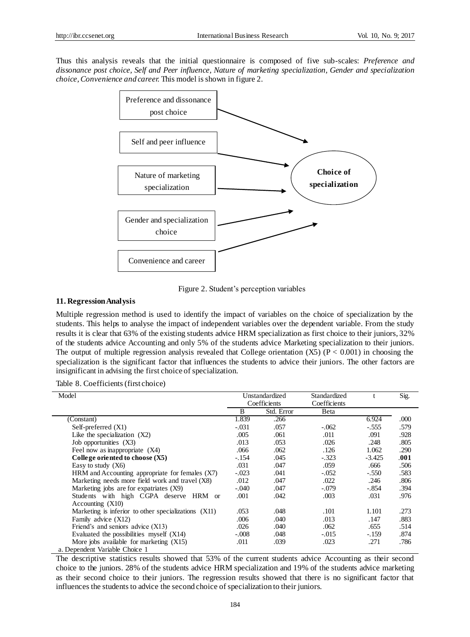Thus this analysis reveals that the initial questionnaire is composed of five sub-scales: *Preference and dissonance post choice, Self and Peer influence, Nature of marketing specialization, Gender and specialization choice, Convenience and career.* This model is shown in figure 2.



Figure 2. Student's perception variables

## **11. RegressionAnalysis**

Multiple regression method is used to identify the impact of variables on the choice of specialization by the students. This helps to analyse the impact of independent variables over the dependent variable. From the study results it is clear that 63% of the existing students advice HRM specialization as first choice to their juniors, 32% of the students advice Accounting and only 5% of the students advice Marketing specialization to their juniors. The output of multiple regression analysis revealed that College orientation  $(X5)$  (P < 0.001) in choosing the specialization is the significant factor that influences the students to advice their juniors. The other factors are insignificant in advising the first choice of specialization.

|  |  |  | Table 8. Coefficients (first choice) |
|--|--|--|--------------------------------------|
|--|--|--|--------------------------------------|

| Model                                                |         | Unstandardized | Standardized |          | Sig. |
|------------------------------------------------------|---------|----------------|--------------|----------|------|
|                                                      |         | Coefficients   | Coefficients |          |      |
|                                                      | B       | Std. Error     | Beta         |          |      |
| (Constant)                                           | 1.839   | .266           |              | 6.924    | .000 |
| Self-preferred (X1)                                  | $-.031$ | .057           | $-.062$      | $-.555$  | .579 |
| Like the specialization $(X2)$                       | .005    | .061           | .011         | .091     | .928 |
| Job opportunities (X3)                               | .013    | .053           | .026         | .248     | .805 |
| Feel now as inappropriate (X4)                       | .066    | .062           | .126         | 1.062    | .290 |
| College oriented to choose $(X5)$                    | $-.154$ | .045           | $-.323$      | $-3.425$ | .001 |
| Easy to study $(X6)$                                 | .031    | .047           | .059         | .666     | .506 |
| HRM and Accounting appropriate for females (X7)      | $-.023$ | .041           | $-.052$      | $-.550$  | .583 |
| Marketing needs more field work and travel (X8)      | .012    | .047           | .022         | .246     | .806 |
| Marketing jobs are for expatriates (X9)              | $-.040$ | .047           | $-.079$      | -.854    | .394 |
| Students with high CGPA deserve HRM or               | .001    | .042           | .003         | .031     | .976 |
| Accounting $(X10)$                                   |         |                |              |          |      |
| Marketing is inferior to other specializations (X11) | .053    | .048           | .101         | 1.101    | .273 |
| Family advice (X12)                                  | .006    | .040           | .013         | .147     | .883 |
| Friend's and seniors advice $(X13)$                  | .026    | .040           | .062         | .655     | .514 |
| Evaluated the possibilities myself $(X14)$           | $-.008$ | .048           | $-.015$      | $-.159$  | .874 |
| More jobs available for marketing $(X15)$            | .011    | .039           | .023         | .271     | .786 |
| a. Dependent Variable Choice 1                       |         |                |              |          |      |

The descriptive statistics results showed that 53% of the current students advice Accounting as their second choice to the juniors. 28% of the students advice HRM specialization and 19% of the students advice marketing as their second choice to their juniors. The regression results showed that there is no significant factor that influences the students to advice the second choice of specialization to their juniors.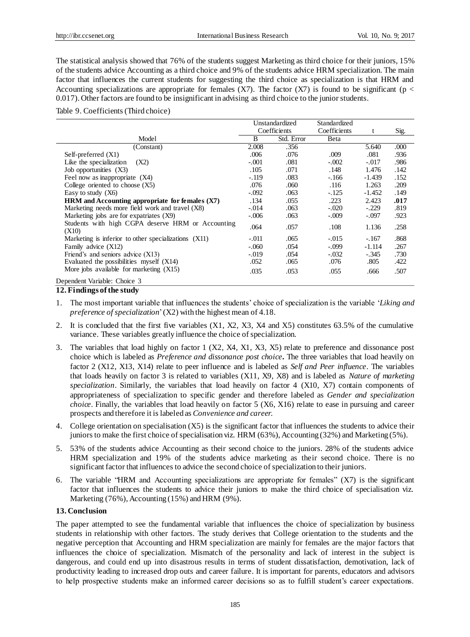The statistical analysis showed that 76% of the students suggest Marketing as third choice for their juniors, 15% of the students advice Accounting as a third choice and 9% of the students advice HRM specialization. The main factor that influences the current students for suggesting the third choice as specialization is that HRM and Accounting specializations are appropriate for females (X7). The factor (X7) is found to be significant ( $p <$ 0.017). Other factors are found to be insignificant in advising as third choice to the junior students.

#### Table 9. Coefficients (Third choice)

|                                                            |         | Unstandardized | Standardized |          |      |
|------------------------------------------------------------|---------|----------------|--------------|----------|------|
|                                                            |         | Coefficients   | Coefficients | t.       | Sig. |
| Model                                                      | B       | Std. Error     | Beta         |          |      |
| (Constant)                                                 | 2.008   | .356           |              | 5.640    | .000 |
| Self-preferred $(X1)$                                      | .006    | .076           | .009         | .081     | .936 |
| Like the specialization<br>(X2)                            | $-.001$ | .081           | $-.002$      | $-.017$  | .986 |
| Job opportunities (X3)                                     | .105    | .071           | .148         | 1.476    | .142 |
| Feel now as inappropriate (X4)                             | $-.119$ | .083           | $-166$       | $-1.439$ | .152 |
| College oriented to choose $(X5)$                          | .076    | .060           | .116         | 1.263    | .209 |
| Easy to study $(X6)$                                       | $-.092$ | .063           | $-.125$      | $-1.452$ | .149 |
| HRM and Accounting appropriate for females (X7)            | .134    | .055           | .223         | 2.423    | .017 |
| Marketing needs more field work and travel (X8)            | $-.014$ | .063           | $-.020$      | $-.229$  | .819 |
| Marketing jobs are for expatriates (X9)                    | $-.006$ | .063           | $-.009$      | $-.097$  | .923 |
| Students with high CGPA deserve HRM or Accounting<br>(X10) | .064    | .057           | .108         | 1.136    | .258 |
| Marketing is inferior to other specializations (X11)       | $-.011$ | .065           | $-.015$      | $-.167$  | .868 |
| Family advice (X12)                                        | $-.060$ | .054           | $-.099$      | $-1.114$ | .267 |
| Friend's and seniors advice $(X13)$                        | $-.019$ | .054           | $-.032$      | $-.345$  | .730 |
| Evaluated the possibilities myself $(X14)$                 | .052    | .065           | .076         | .805     | .422 |
| More jobs available for marketing $(X15)$                  | .035    | .053           | .055         | .666     | .507 |
| Dependent Variable: Choice 3<br>____                       |         |                |              |          |      |

#### **12. Findings of the study**

- 1. The most important variable that influences the students' choice of specialization is the variable '*Liking and preference of specialization*' (X2) with the highest mean of 4.18.
- 2. It is concluded that the first five variables (X1, X2, X3, X4 and X5) constitutes 63.5% of the cumulative variance. These variables greatly influence the choice of specialization.
- 3. The variables that load highly on factor 1 (X2, X4, X1, X3, X5) relate to preference and dissonance post choice which is labeled as *Preference and dissonance post choice.* The three variables that load heavily on factor 2 (X12, X13, X14) relate to peer influence and is labeled as *Self and Peer influence*. The variables that loads heavily on factor 3 is related to variables (X11, X9, X8) and is labeled as *Nature of marketing specialization*. Similarly, the variables that load heavily on factor 4 (X10, X7) contain components of appropriateness of specialization to specific gender and therefore labeled as *Gender and specialization choice*. Finally, the variables that load heavily on factor 5 (X6, X16) relate to ease in pursuing and career prospects and therefore it is labeled as *Convenience and career.*
- 4. College orientation on specialisation (X5) is the significant factor that influences the students to advice their juniors to make the first choice of specialisation viz. HRM (63%), Accounting (32%) and Marketing (5%).
- 5. 53% of the students advice Accounting as their second choice to the juniors. 28% of the students advice HRM specialization and 19% of the students advice marketing as their second choice. There is no significant factor that influences to advice the second choice of specialization to their juniors.
- 6. The variable "HRM and Accounting specializations are appropriate for females" (X7) is the significant factor that influences the students to advice their juniors to make the third choice of specialisation viz. Marketing (76%), Accounting (15%) and HRM (9%).

## **13. Conclusion**

The paper attempted to see the fundamental variable that influences the choice of specialization by business students in relationship with other factors. The study derives that College orientation to the students and the negative perception that Accounting and HRM specialization are mainly for females are the major factors that influences the choice of specialization. Mismatch of the personality and lack of interest in the subject is dangerous, and could end up into disastrous results in terms of student dissatisfaction, demotivation, lack of productivity leading to increased drop outs and career failure. It is important for parents, educators and advisors to help prospective students make an informed career decisions so as to fulfill student's career expectations.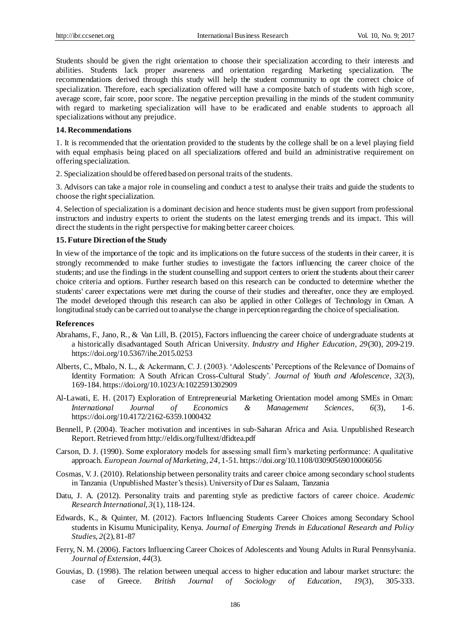Students should be given the right orientation to choose their specialization according to their interests and abilities. Students lack proper awareness and orientation regarding Marketing specialization. The recommendations derived through this study will help the student community to opt the correct choice of specialization. Therefore, each specialization offered will have a composite batch of students with high score, average score, fair score, poor score. The negative perception prevailing in the minds of the student community with regard to marketing specialization will have to be eradicated and enable students to approach all specializations without any prejudice.

## **14. Recommendations**

1. It is recommended that the orientation provided to the students by the college shall be on a level playing field with equal emphasis being placed on all specializations offered and build an administrative requirement on offering specialization.

2. Specialization should be offered based on personal traits of the students.

3. Advisors can take a major role in counseling and conduct a test to analyse their traits and guide the students to choose the right specialization.

4. Selection of specialization is a dominant decision and hence students must be given support from professional instructors and industry experts to orient the students on the latest emerging trends and its impact. This will direct the students in the right perspective for making better career choices.

## **15. Future Direction of the Study**

In view of the importance of the topic and its implications on the future success of the students in their career, it is strongly recommended to make further studies to investigate the factors influencing the career choice of the students; and use the findings in the student counselling and support centers to orient the students about their career choice criteria and options. Further research based on this research can be conducted to determine whether the students' career expectations were met during the course of their studies and thereafter, once they are employed. The model developed through this research can also be applied in other Colleges of Technology in Oman. A longitudinal study can be carried out to analyse the change in perception regarding the choice of specialisation.

#### **References**

- Abrahams, F., Jano, R., & Van Lill, B. (2015), Factors influencing the career choice of undergraduate students at a historically disadvantaged South African University. *Industry and Higher Education, 29*(30), 209-219. https://doi.org/10.5367/ihe.2015.0253
- Alberts, C., Mbalo, N. L., & Ackermann, C. J. (2003). 'Adolescents' Perceptions of the Relevance of Domains of Identity Formation: A South African Cross-Cultural Study'. *Journal of Youth and Adolescence, 32*(3), 169-184. https://doi.org/10.1023/A:1022591302909
- Al-Lawati, E. H. (2017) Exploration of Entrepreneurial Marketing Orientation model among SMEs in Oman: *International Journal of Economics & Management Sciences, 6*(3), 1-6. https://doi.org/10.4172/2162-6359.1000432
- Bennell, P. (2004). Teacher motivation and incentives in sub-Saharan Africa and Asia. Unpublished Research Report. Retrieved fro[m http://eldis.org/fulltext/dfidtea.pdf](http://eldis.org/fulltext/dfidtea.pdf)
- Carson, D. J. (1990). Some exploratory models for assessing small firm's marketing performance: A qualitative approach. *European Journal of Marketing, 24,* 1-51. https://doi.org/10.1108/03090569010006056
- Cosmas, V. J. (2010). Relationship between personality traits and career choice among secondary school students in Tanzania (Unpublished Master's thesis). University of Dar es Salaam, Tanzania
- Datu, J. A. (2012). Personality traits and parenting style as predictive factors of career choice. *Academic Research International, 3*(1), 118-124.
- Edwards, K., & Quinter, M. (2012). Factors Influencing Students Career Choices among Secondary School students in Kisumu Municipality, Kenya. *Journal of Emerging Trends in Educational Research and Policy Studies, 2*(2), 81-87
- Ferry, N. M. (2006). Factors Influencing Career Choices of Adolescents and Young Adults in Rural Pennsylvania. *Journal of Extension, 44*(3).
- Gouvias, D. (1998). The relation between unequal access to higher education and labour market structure: the case of Greece. *British Journal of Sociology of Education, 19*(3), 305-333.